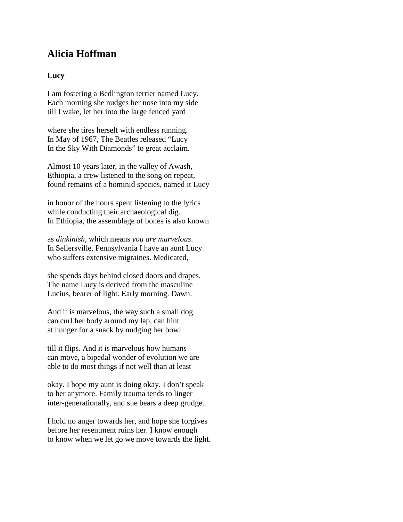## **Alicia Hoffman**

## **Lucy**

I am fostering a Bedlington terrier named Lucy. Each morning she nudges her nose into my side till I wake, let her into the large fenced yard

where she tires herself with endless running. In May of 1967, The Beatles released "Lucy In the Sky With Diamonds" to great acclaim.

Almost 10 years later, in the valley of Awash, Ethiopia, a crew listened to the song on repeat, found remains of a hominid species, named it Lucy

in honor of the hours spent listening to the lyrics while conducting their archaeological dig. In Ethiopia, the assemblage of bones is also known

as *dinkinish*, which means *you are marvelous*. In Sellersville, Pennsylvania I have an aunt Lucy who suffers extensive migraines. Medicated,

she spends days behind closed doors and drapes. The name Lucy is derived from the masculine Lucius, bearer of light. Early morning. Dawn.

And it is marvelous, the way such a small dog can curl her body around my lap, can hint at hunger for a snack by nudging her bowl

till it flips. And it is marvelous how humans can move, a bipedal wonder of evolution we are able to do most things if not well than at least

okay. I hope my aunt is doing okay. I don't speak to her anymore. Family trauma tends to linger inter-generationally, and she bears a deep grudge.

I hold no anger towards her, and hope she forgives before her resentment ruins her. I know enough to know when we let go we move towards the light.